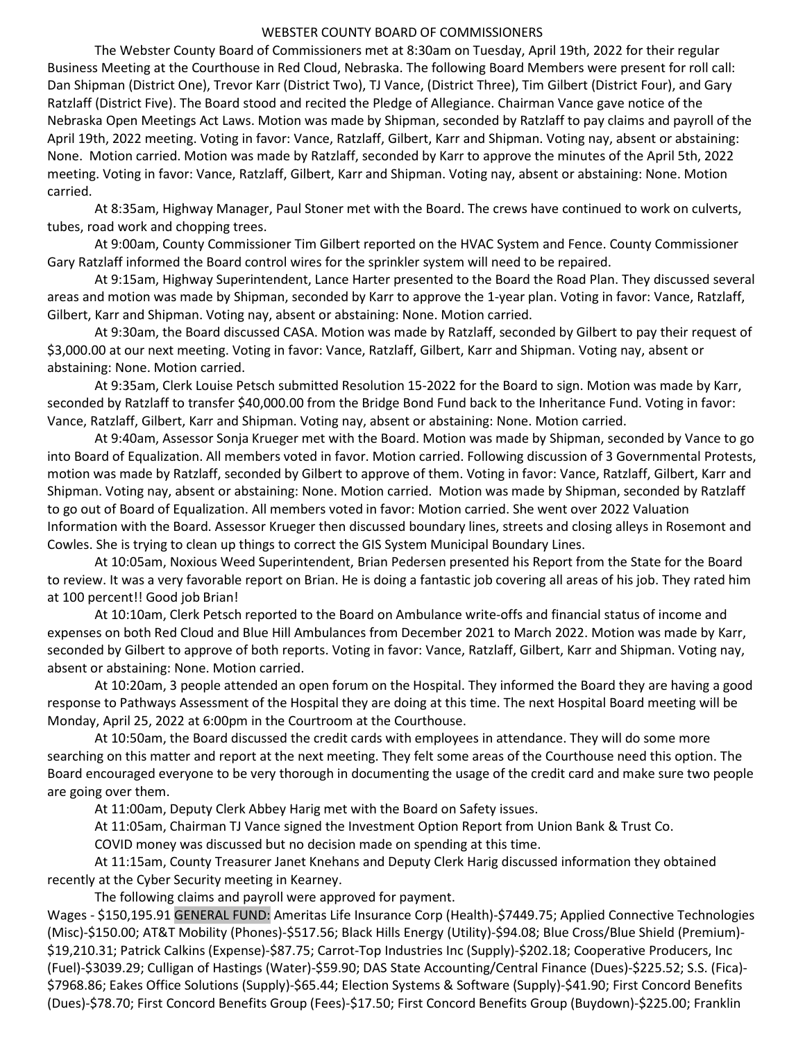## WEBSTER COUNTY BOARD OF COMMISSIONERS

 The Webster County Board of Commissioners met at 8:30am on Tuesday, April 19th, 2022 for their regular Business Meeting at the Courthouse in Red Cloud, Nebraska. The following Board Members were present for roll call: Dan Shipman (District One), Trevor Karr (District Two), TJ Vance, (District Three), Tim Gilbert (District Four), and Gary Ratzlaff (District Five). The Board stood and recited the Pledge of Allegiance. Chairman Vance gave notice of the Nebraska Open Meetings Act Laws. Motion was made by Shipman, seconded by Ratzlaff to pay claims and payroll of the April 19th, 2022 meeting. Voting in favor: Vance, Ratzlaff, Gilbert, Karr and Shipman. Voting nay, absent or abstaining: None. Motion carried. Motion was made by Ratzlaff, seconded by Karr to approve the minutes of the April 5th, 2022 meeting. Voting in favor: Vance, Ratzlaff, Gilbert, Karr and Shipman. Voting nay, absent or abstaining: None. Motion carried.

 At 8:35am, Highway Manager, Paul Stoner met with the Board. The crews have continued to work on culverts, tubes, road work and chopping trees.

 At 9:00am, County Commissioner Tim Gilbert reported on the HVAC System and Fence. County Commissioner Gary Ratzlaff informed the Board control wires for the sprinkler system will need to be repaired.

 At 9:15am, Highway Superintendent, Lance Harter presented to the Board the Road Plan. They discussed several areas and motion was made by Shipman, seconded by Karr to approve the 1-year plan. Voting in favor: Vance, Ratzlaff, Gilbert, Karr and Shipman. Voting nay, absent or abstaining: None. Motion carried.

At 9:30am, the Board discussed CASA. Motion was made by Ratzlaff, seconded by Gilbert to pay their request of \$3,000.00 at our next meeting. Voting in favor: Vance, Ratzlaff, Gilbert, Karr and Shipman. Voting nay, absent or abstaining: None. Motion carried.

 At 9:35am, Clerk Louise Petsch submitted Resolution 15-2022 for the Board to sign. Motion was made by Karr, seconded by Ratzlaff to transfer \$40,000.00 from the Bridge Bond Fund back to the Inheritance Fund. Voting in favor: Vance, Ratzlaff, Gilbert, Karr and Shipman. Voting nay, absent or abstaining: None. Motion carried.

 At 9:40am, Assessor Sonja Krueger met with the Board. Motion was made by Shipman, seconded by Vance to go into Board of Equalization. All members voted in favor. Motion carried. Following discussion of 3 Governmental Protests, motion was made by Ratzlaff, seconded by Gilbert to approve of them. Voting in favor: Vance, Ratzlaff, Gilbert, Karr and Shipman. Voting nay, absent or abstaining: None. Motion carried. Motion was made by Shipman, seconded by Ratzlaff to go out of Board of Equalization. All members voted in favor: Motion carried. She went over 2022 Valuation Information with the Board. Assessor Krueger then discussed boundary lines, streets and closing alleys in Rosemont and Cowles. She is trying to clean up things to correct the GIS System Municipal Boundary Lines.

 At 10:05am, Noxious Weed Superintendent, Brian Pedersen presented his Report from the State for the Board to review. It was a very favorable report on Brian. He is doing a fantastic job covering all areas of his job. They rated him at 100 percent!! Good job Brian!

 At 10:10am, Clerk Petsch reported to the Board on Ambulance write-offs and financial status of income and expenses on both Red Cloud and Blue Hill Ambulances from December 2021 to March 2022. Motion was made by Karr, seconded by Gilbert to approve of both reports. Voting in favor: Vance, Ratzlaff, Gilbert, Karr and Shipman. Voting nay, absent or abstaining: None. Motion carried.

 At 10:20am, 3 people attended an open forum on the Hospital. They informed the Board they are having a good response to Pathways Assessment of the Hospital they are doing at this time. The next Hospital Board meeting will be Monday, April 25, 2022 at 6:00pm in the Courtroom at the Courthouse.

 At 10:50am, the Board discussed the credit cards with employees in attendance. They will do some more searching on this matter and report at the next meeting. They felt some areas of the Courthouse need this option. The Board encouraged everyone to be very thorough in documenting the usage of the credit card and make sure two people are going over them.

At 11:00am, Deputy Clerk Abbey Harig met with the Board on Safety issues.

At 11:05am, Chairman TJ Vance signed the Investment Option Report from Union Bank & Trust Co.

COVID money was discussed but no decision made on spending at this time.

 At 11:15am, County Treasurer Janet Knehans and Deputy Clerk Harig discussed information they obtained recently at the Cyber Security meeting in Kearney.

The following claims and payroll were approved for payment.

Wages - \$150,195.91 GENERAL FUND: Ameritas Life Insurance Corp (Health)-\$7449.75; Applied Connective Technologies (Misc)-\$150.00; AT&T Mobility (Phones)-\$517.56; Black Hills Energy (Utility)-\$94.08; Blue Cross/Blue Shield (Premium)- \$19,210.31; Patrick Calkins (Expense)-\$87.75; Carrot-Top Industries Inc (Supply)-\$202.18; Cooperative Producers, Inc (Fuel)-\$3039.29; Culligan of Hastings (Water)-\$59.90; DAS State Accounting/Central Finance (Dues)-\$225.52; S.S. (Fica)- \$7968.86; Eakes Office Solutions (Supply)-\$65.44; Election Systems & Software (Supply)-\$41.90; First Concord Benefits (Dues)-\$78.70; First Concord Benefits Group (Fees)-\$17.50; First Concord Benefits Group (Buydown)-\$225.00; Franklin